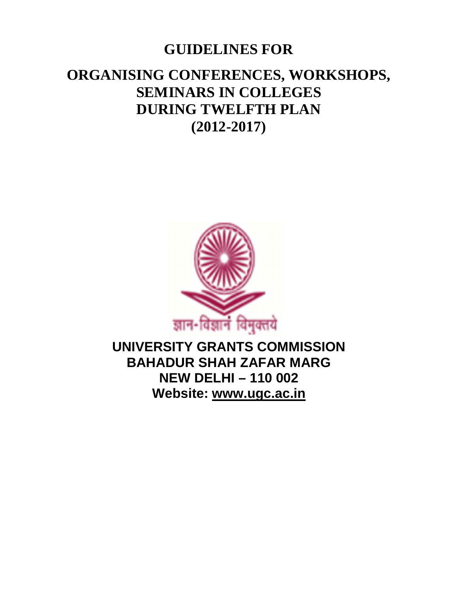# **GUIDELINES FOR**

# **ORGANISING CONFERENCES, WORKSHOPS, SEMINARS IN COLLEGES DURING TWELFTH PLAN (2012-2017)**



**UNIVERSITY GRANTS COMMISSION BAHADUR SHAH ZAFAR MARG NEW DELHI – 110 002 Website: www.ugc.ac.in**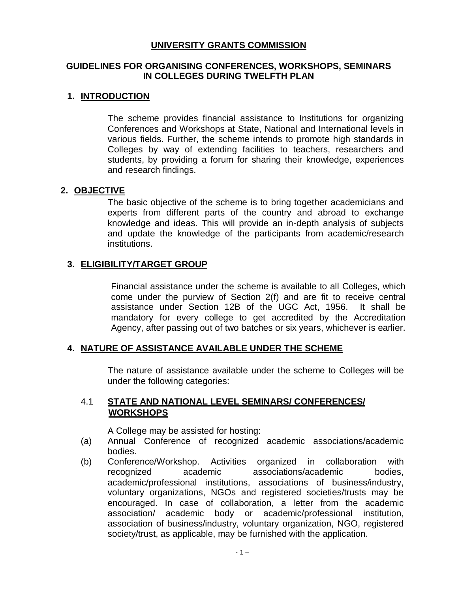#### **UNIVERSITY GRANTS COMMISSION**

#### **GUIDELINES FOR ORGANISING CONFERENCES, WORKSHOPS, SEMINARS IN COLLEGES DURING TWELFTH PLAN**

# **1. INTRODUCTION**

The scheme provides financial assistance to Institutions for organizing Conferences and Workshops at State, National and International levels in various fields. Further, the scheme intends to promote high standards in Colleges by way of extending facilities to teachers, researchers and students, by providing a forum for sharing their knowledge, experiences and research findings.

#### **2. OBJECTIVE**

The basic objective of the scheme is to bring together academicians and experts from different parts of the country and abroad to exchange knowledge and ideas. This will provide an in-depth analysis of subjects and update the knowledge of the participants from academic/research institutions.

#### **3. ELIGIBILITY/TARGET GROUP**

Financial assistance under the scheme is available to all Colleges, which come under the purview of Section 2(f) and are fit to receive central assistance under Section 12B of the UGC Act, 1956. It shall be mandatory for every college to get accredited by the Accreditation Agency, after passing out of two batches or six years, whichever is earlier.

#### **4. NATURE OF ASSISTANCE AVAILABLE UNDER THE SCHEME**

The nature of assistance available under the scheme to Colleges will be under the following categories:

#### 4.1 **STATE AND NATIONAL LEVEL SEMINARS/ CONFERENCES/ WORKSHOPS**

A College may be assisted for hosting:

- (a) Annual Conference of recognized academic associations/academic bodies.
- (b) Conference/Workshop. Activities organized in collaboration with recognized academic associations/academic bodies, academic/professional institutions, associations of business/industry, voluntary organizations, NGOs and registered societies/trusts may be encouraged. In case of collaboration, a letter from the academic association/ academic body or academic/professional institution, association of business/industry, voluntary organization, NGO, registered society/trust, as applicable, may be furnished with the application.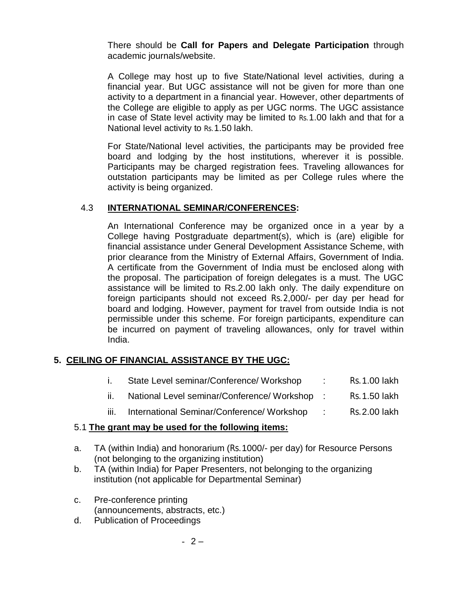There should be **Call for Papers and Delegate Participation** through academic journals/website.

A College may host up to five State/National level activities, during a financial year. But UGC assistance will not be given for more than one activity to a department in a financial year. However, other departments of the College are eligible to apply as per UGC norms. The UGC assistance in case of State level activity may be limited to Rs.1.00 lakh and that for a National level activity to Rs.1.50 lakh.

For State/National level activities, the participants may be provided free board and lodging by the host institutions, wherever it is possible. Participants may be charged registration fees. Traveling allowances for outstation participants may be limited as per College rules where the activity is being organized.

#### 4.3 **INTERNATIONAL SEMINAR/CONFERENCES:**

An International Conference may be organized once in a year by a College having Postgraduate department(s), which is (are) eligible for financial assistance under General Development Assistance Scheme, with prior clearance from the Ministry of External Affairs, Government of India. A certificate from the Government of India must be enclosed along with the proposal. The participation of foreign delegates is a must. The UGC assistance will be limited to Rs.2.00 lakh only. The daily expenditure on foreign participants should not exceed Rs.2,000/- per day per head for board and lodging. However, payment for travel from outside India is not permissible under this scheme. For foreign participants, expenditure can be incurred on payment of traveling allowances, only for travel within India.

# **5. CEILING OF FINANCIAL ASSISTANCE BY THE UGC:**

| State Level seminar/Conference/ Workshop | Rs.1.00 lakh |
|------------------------------------------|--------------|
|------------------------------------------|--------------|

- ii. National Level seminar/Conference/ Workshop : Rs.1.50 lakh
- iii. International Seminar/Conference/ Workshop : Rs.2.00 lakh

#### 5.1 **The grant may be used for the following items:**

- a. TA (within India) and honorarium (Rs.1000/- per day) for Resource Persons (not belonging to the organizing institution)
- b. TA (within India) for Paper Presenters, not belonging to the organizing institution (not applicable for Departmental Seminar)
- c. Pre-conference printing (announcements, abstracts, etc.)
- d. Publication of Proceedings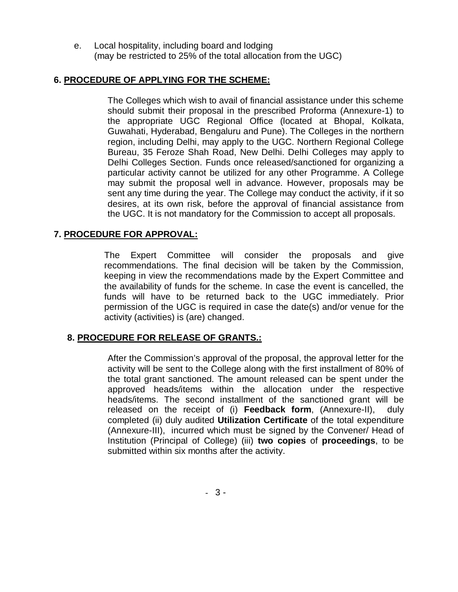e. Local hospitality, including board and lodging (may be restricted to 25% of the total allocation from the UGC)

#### **6. PROCEDURE OF APPLYING FOR THE SCHEME:**

The Colleges which wish to avail of financial assistance under this scheme should submit their proposal in the prescribed Proforma (Annexure-1) to the appropriate UGC Regional Office (located at Bhopal, Kolkata, Guwahati, Hyderabad, Bengaluru and Pune). The Colleges in the northern region, including Delhi, may apply to the UGC. Northern Regional College Bureau, 35 Feroze Shah Road, New Delhi. Delhi Colleges may apply to Delhi Colleges Section. Funds once released/sanctioned for organizing a particular activity cannot be utilized for any other Programme. A College may submit the proposal well in advance. However, proposals may be sent any time during the year. The College may conduct the activity, if it so desires, at its own risk, before the approval of financial assistance from the UGC. It is not mandatory for the Commission to accept all proposals.

#### **7. PROCEDURE FOR APPROVAL:**

The Expert Committee will consider the proposals and give recommendations. The final decision will be taken by the Commission, keeping in view the recommendations made by the Expert Committee and the availability of funds for the scheme. In case the event is cancelled, the funds will have to be returned back to the UGC immediately. Prior permission of the UGC is required in case the date(s) and/or venue for the activity (activities) is (are) changed.

#### **8. PROCEDURE FOR RELEASE OF GRANTS.:**

After the Commission's approval of the proposal, the approval letter for the activity will be sent to the College along with the first installment of 80% of the total grant sanctioned. The amount released can be spent under the approved heads/items within the allocation under the respective heads/items. The second installment of the sanctioned grant will be released on the receipt of (i) **Feedback form**, (Annexure-II), duly completed (ii) duly audited **Utilization Certificate** of the total expenditure (Annexure-III), incurred which must be signed by the Convener/ Head of Institution (Principal of College) (iii) **two copies** of **proceedings**, to be submitted within six months after the activity.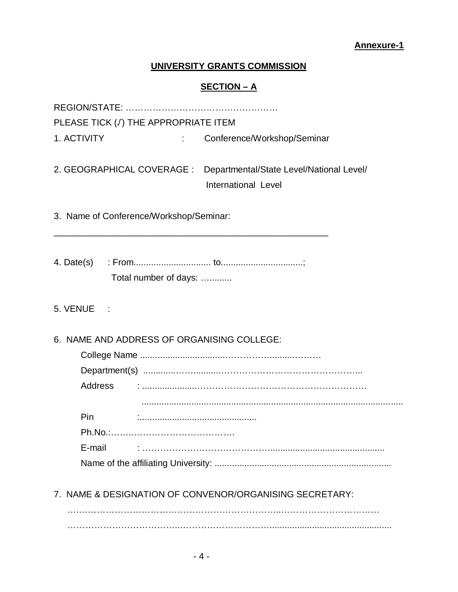#### **Annexure-1**

# **UNIVERSITY GRANTS COMMISSION**

#### **SECTION – A**

REGION/STATE: …………………………………………… PLEASE TICK (√) THE APPROPRIATE ITEM

1. ACTIVITY : Conference/Workshop/Seminar

2. GEOGRAPHICAL COVERAGE : Departmental/State Level/National Level/ International Level

3. Name of Conference/Workshop/Seminar:

4. Date(s) : From............................... to.................................;

\_\_\_\_\_\_\_\_\_\_\_\_\_\_\_\_\_\_\_\_\_\_\_\_\_\_\_\_\_\_\_\_\_\_\_\_\_\_\_\_\_\_\_\_\_\_\_\_\_\_\_\_\_\_\_

Total number of days: ............

#### 5. VENUE :

6. NAME AND ADDRESS OF ORGANISING COLLEGE:

| Pin |  |
|-----|--|
|     |  |
|     |  |
|     |  |
|     |  |

7. NAME & DESIGNATION OF CONVENOR/ORGANISING SECRETARY:

….…………………………………………………………..…………………………… ………………………………..………………………….................................................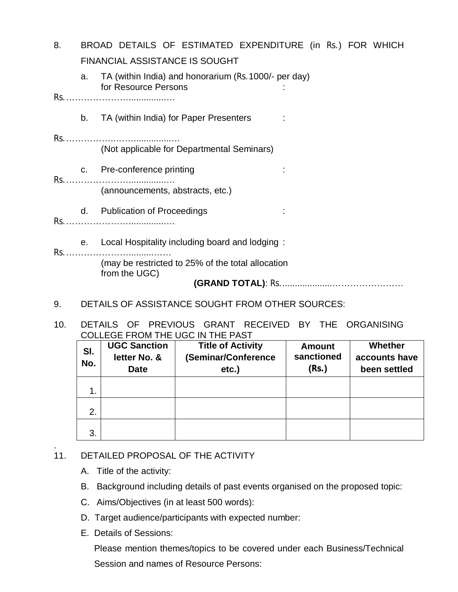| 8. |                                                           | BROAD DETAILS OF ESTIMATED EXPENDITURE (in Rs.) FOR WHICH                     |  |  |  |  |  |
|----|-----------------------------------------------------------|-------------------------------------------------------------------------------|--|--|--|--|--|
|    | FINANCIAL ASSISTANCE IS SOUGHT                            |                                                                               |  |  |  |  |  |
|    | a.                                                        | TA (within India) and honorarium (Rs. 1000/- per day)<br>for Resource Persons |  |  |  |  |  |
|    |                                                           |                                                                               |  |  |  |  |  |
|    | b.                                                        | TA (within India) for Paper Presenters                                        |  |  |  |  |  |
|    |                                                           |                                                                               |  |  |  |  |  |
|    |                                                           | (Not applicable for Departmental Seminars)                                    |  |  |  |  |  |
|    |                                                           | c. Pre-conference printing                                                    |  |  |  |  |  |
|    |                                                           | (announcements, abstracts, etc.)                                              |  |  |  |  |  |
|    |                                                           | d. Publication of Proceedings                                                 |  |  |  |  |  |
|    | Local Hospitality including board and lodging:<br>$e_{1}$ |                                                                               |  |  |  |  |  |
|    |                                                           | (may be restricted to 25% of the total allocation<br>from the UGC)            |  |  |  |  |  |
|    |                                                           |                                                                               |  |  |  |  |  |

- 9. DETAILS OF ASSISTANCE SOUGHT FROM OTHER SOURCES:
- 10. DETAILS OF PREVIOUS GRANT RECEIVED BY THE ORGANISING COLLEGE FROM THE UGC IN THE PAST

| SI.<br>No.    | <b>UGC Sanction</b><br>letter No. &<br><b>Date</b> | <b>Title of Activity</b><br>(Seminar/Conference<br>etc.) | <b>Amount</b><br>sanctioned<br>(Rs.) | Whether<br>accounts have<br>been settled |
|---------------|----------------------------------------------------|----------------------------------------------------------|--------------------------------------|------------------------------------------|
| $\mathbf 1$ . |                                                    |                                                          |                                      |                                          |
| 2.            |                                                    |                                                          |                                      |                                          |
| 3.            |                                                    |                                                          |                                      |                                          |

- . 11. DETAILED PROPOSAL OF THE ACTIVITY
	- A. Title of the activity:
	- B. Background including details of past events organised on the proposed topic:
	- C. Aims/Objectives (in at least 500 words):
	- D. Target audience/participants with expected number:
	- E. Details of Sessions:

Please mention themes/topics to be covered under each Business/Technical Session and names of Resource Persons: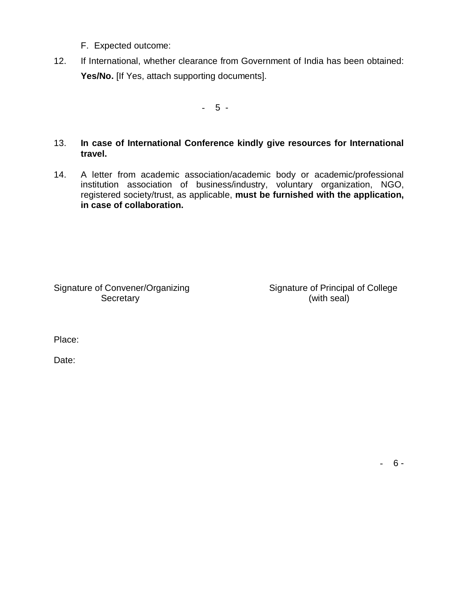- F. Expected outcome:
- 12. If International, whether clearance from Government of India has been obtained: Yes/No. [If Yes, attach supporting documents].

- 5 -

### 13. **In case of International Conference kindly give resources for International travel.**

14. A letter from academic association/academic body or academic/professional institution association of business/industry, voluntary organization, NGO, registered society/trust, as applicable, **must be furnished with the application, in case of collaboration.**

Signature of Convener/Organizing Signature of Principal of College Secretary **CONSECRETATION** (with seal)

Place:

Date:

- 6 -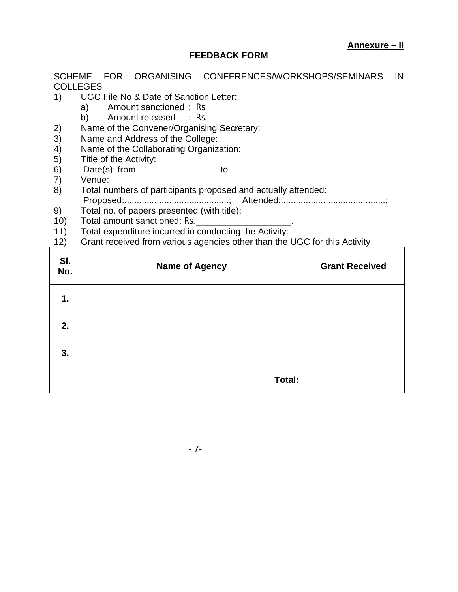# **Annexure – II**

# **FEEDBACK FORM**

| SCHEME FOR ORGANISING CONFERENCES/WORKSHOPS/SEMINARS<br><b>COLLEGES</b> |                                             |  |                                         |                                                                                                                 |                       | IN |
|-------------------------------------------------------------------------|---------------------------------------------|--|-----------------------------------------|-----------------------------------------------------------------------------------------------------------------|-----------------------|----|
| UGC File No & Date of Sanction Letter:<br>1)                            |                                             |  |                                         |                                                                                                                 |                       |    |
|                                                                         |                                             |  | a) Amount sanctioned : Rs.              |                                                                                                                 |                       |    |
|                                                                         | b)<br>Amount released : Rs.                 |  |                                         |                                                                                                                 |                       |    |
| 2)                                                                      |                                             |  |                                         | Name of the Convener/Organising Secretary:                                                                      |                       |    |
| 3)                                                                      |                                             |  | Name and Address of the College:        |                                                                                                                 |                       |    |
| 4)                                                                      |                                             |  | Name of the Collaborating Organization: |                                                                                                                 |                       |    |
| 5)                                                                      | Title of the Activity:                      |  |                                         |                                                                                                                 |                       |    |
| 6)                                                                      |                                             |  |                                         |                                                                                                                 |                       |    |
| 7)                                                                      | Venue:                                      |  |                                         |                                                                                                                 |                       |    |
| 8)                                                                      |                                             |  |                                         | Total numbers of participants proposed and actually attended:                                                   |                       |    |
|                                                                         | Total no. of papers presented (with title): |  |                                         |                                                                                                                 |                       |    |
| 9)                                                                      |                                             |  |                                         |                                                                                                                 |                       |    |
| 10)<br>11)                                                              |                                             |  |                                         | Total amount sanctioned: Rs. ________________________<br>Total expenditure incurred in conducting the Activity: |                       |    |
| 12)                                                                     |                                             |  |                                         | Grant received from various agencies other than the UGC for this Activity                                       |                       |    |
|                                                                         |                                             |  |                                         |                                                                                                                 |                       |    |
| SI.<br>No.                                                              |                                             |  | <b>Name of Agency</b>                   |                                                                                                                 | <b>Grant Received</b> |    |
| $\mathbf 1$ .                                                           |                                             |  |                                         |                                                                                                                 |                       |    |
| 2.                                                                      |                                             |  |                                         |                                                                                                                 |                       |    |
| 3.                                                                      |                                             |  |                                         |                                                                                                                 |                       |    |
|                                                                         |                                             |  |                                         | Total:                                                                                                          |                       |    |

- 7-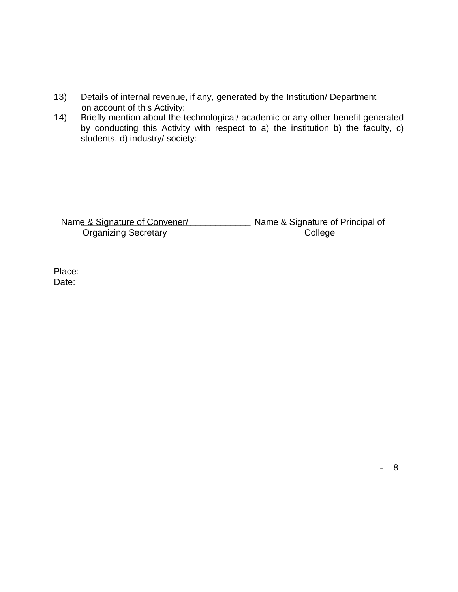- 13) Details of internal revenue, if any, generated by the Institution/ Department on account of this Activity:<br>14) Briefly mention about the to
- Briefly mention about the technological/ academic or any other benefit generated by conducting this Activity with respect to a) the institution b) the faculty, c) students, d) industry/ society:

Name & Signature of Convener/ **Name & Signature of Principal of** Organizing Secretary College

Place: Date:

\_\_\_\_\_\_\_\_\_\_\_\_\_\_\_\_\_\_\_\_\_\_\_\_\_\_\_\_\_\_\_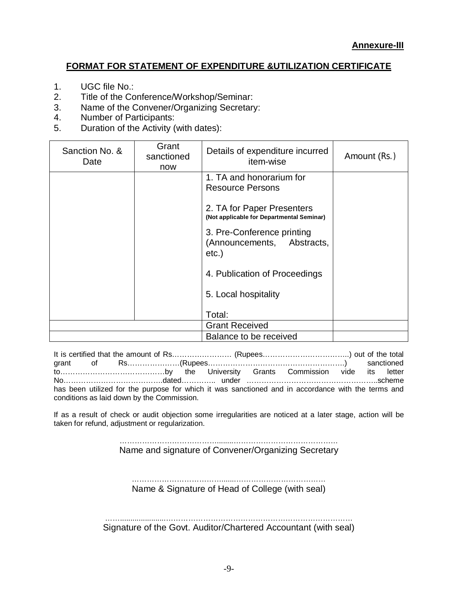#### **FORMAT FOR STATEMENT OF EXPENDITURE &UTILIZATION CERTIFICATE**

- 1. UGC file No.:
- 2. Title of the Conference/Workshop/Seminar:
- 3. Name of the Convener/Organizing Secretary:
- 4. Number of Participants:
- 5. Duration of the Activity (with dates):

| Sanction No. &<br>Date | Grant<br>sanctioned<br>now | Details of expenditure incurred<br><i>item-wise</i> | Amount (Rs.) |
|------------------------|----------------------------|-----------------------------------------------------|--------------|
|                        |                            | 1. TA and honorarium for                            |              |
|                        |                            | <b>Resource Persons</b>                             |              |
|                        |                            |                                                     |              |
|                        |                            | 2. TA for Paper Presenters                          |              |
|                        |                            | (Not applicable for Departmental Seminar)           |              |
|                        |                            | 3. Pre-Conference printing                          |              |
|                        |                            | (Announcements, Abstracts,                          |              |
|                        |                            | $etc.$ )                                            |              |
|                        |                            |                                                     |              |
|                        |                            | 4. Publication of Proceedings                       |              |
|                        |                            |                                                     |              |
|                        |                            | 5. Local hospitality                                |              |
|                        |                            | Total:                                              |              |
|                        |                            | <b>Grant Received</b>                               |              |
|                        |                            |                                                     |              |
|                        |                            | Balance to be received                              |              |

It is certified that the amount of Rs…………………… (Rupees……………………………..) out of the total grant of Rs…………………(Rupees……………………………………………….) sanctioned to……………………………………by the University Grants Commission vide its letter No………………………………….dated………….. under ……………………………………………..scheme has been utilized for the purpose for which it was sanctioned and in accordance with the terms and conditions as laid down by the Commission.

If as a result of check or audit objection some irregularities are noticed at a later stage, action will be taken for refund, adjustment or regularization.

> …………………………………........…………………………………… Name and signature of Convener/Organizing Secretary

……………………………….......……………………………… Name & Signature of Head of College (with seal)

……......................………………………………………………………………… Signature of the Govt. Auditor/Chartered Accountant (with seal)